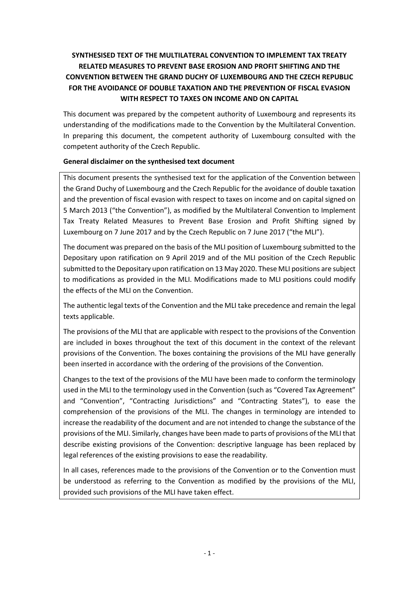# **SYNTHESISED TEXT OF THE MULTILATERAL CONVENTION TO IMPLEMENT TAX TREATY RELATED MEASURES TO PREVENT BASE EROSION AND PROFIT SHIFTING AND THE CONVENTION BETWEEN THE GRAND DUCHY OF LUXEMBOURG AND THE CZECH REPUBLIC FOR THE AVOIDANCE OF DOUBLE TAXATION AND THE PREVENTION OF FISCAL EVASION WITH RESPECT TO TAXES ON INCOME AND ON CAPITAL**

This document was prepared by the competent authority of Luxembourg and represents its understanding of the modifications made to the Convention by the Multilateral Convention. In preparing this document, the competent authority of Luxembourg consulted with the competent authority of the Czech Republic.

### **General disclaimer on the synthesised text document**

This document presents the synthesised text for the application of the Convention between the Grand Duchy of Luxembourg and the Czech Republic for the avoidance of double taxation and the prevention of fiscal evasion with respect to taxes on income and on capital signed on 5 March 2013 ("the Convention"), as modified by the Multilateral Convention to Implement Tax Treaty Related Measures to Prevent Base Erosion and Profit Shifting signed by Luxembourg on 7 June 2017 and by the Czech Republic on 7 June 2017 ("the MLI").

The document was prepared on the basis of the MLI position of Luxembourg submitted to the Depositary upon ratification on 9 April 2019 and of the MLI position of the Czech Republic submitted to the Depositary upon ratification on 13 May 2020. These MLI positions are subject to modifications as provided in the MLI. Modifications made to MLI positions could modify the effects of the MLI on the Convention.

The authentic legal texts of the Convention and the MLI take precedence and remain the legal texts applicable.

The provisions of the MLI that are applicable with respect to the provisions of the Convention are included in boxes throughout the text of this document in the context of the relevant provisions of the Convention. The boxes containing the provisions of the MLI have generally been inserted in accordance with the ordering of the provisions of the Convention.

Changes to the text of the provisions of the MLI have been made to conform the terminology used in the MLI to the terminology used in the Convention (such as "Covered Tax Agreement" and "Convention", "Contracting Jurisdictions" and "Contracting States"), to ease the comprehension of the provisions of the MLI. The changes in terminology are intended to increase the readability of the document and are not intended to change the substance of the provisions of the MLI. Similarly, changes have been made to parts of provisions of the MLI that describe existing provisions of the Convention: descriptive language has been replaced by legal references of the existing provisions to ease the readability.

In all cases, references made to the provisions of the Convention or to the Convention must be understood as referring to the Convention as modified by the provisions of the MLI, provided such provisions of the MLI have taken effect.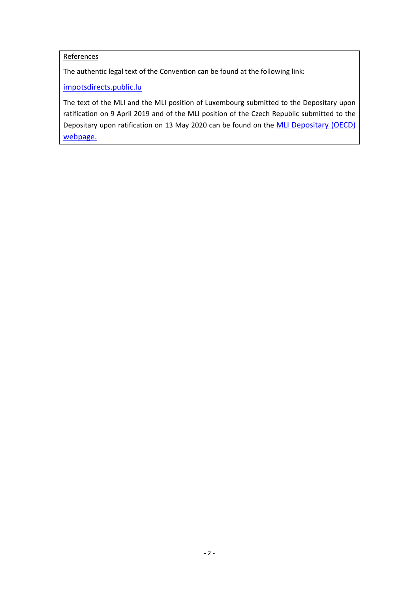## References

The authentic legal text of the Convention can be found at the following link:

[impotsdirects.public.lu](https://impotsdirects.public.lu/fr.html)

The text of the MLI and the MLI position of Luxembourg submitted to the Depositary upon ratification on 9 April 2019 and of the MLI position of the Czech Republic submitted to the Depositary upon ratification on 13 May 2020 can be found on the [MLI Depositary \(OECD\)](https://www.oecd.org/tax/treaties/multilateral-convention-to-implement-tax-treaty-related-measures-to-prevent-beps.htm)  [webpage.](https://www.oecd.org/tax/treaties/multilateral-convention-to-implement-tax-treaty-related-measures-to-prevent-beps.htm)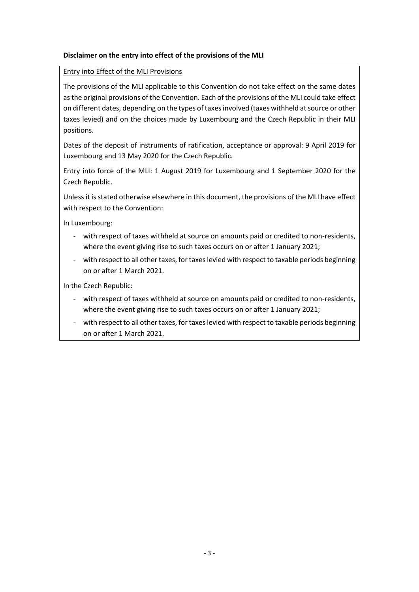### **Disclaimer on the entry into effect of the provisions of the MLI**

#### Entry into Effect of the MLI Provisions

The provisions of the MLI applicable to this Convention do not take effect on the same dates as the original provisions of the Convention. Each of the provisions of the MLI could take effect on different dates, depending on the types of taxes involved (taxes withheld at source or other taxes levied) and on the choices made by Luxembourg and the Czech Republic in their MLI positions.

Dates of the deposit of instruments of ratification, acceptance or approval: 9 April 2019 for Luxembourg and 13 May 2020 for the Czech Republic.

Entry into force of the MLI: 1 August 2019 for Luxembourg and 1 September 2020 for the Czech Republic.

Unless it is stated otherwise elsewhere in this document, the provisions of the MLI have effect with respect to the Convention:

In Luxembourg:

- with respect of taxes withheld at source on amounts paid or credited to non-residents, where the event giving rise to such taxes occurs on or after 1 January 2021;
- with respect to all other taxes, for taxes levied with respect to taxable periods beginning on or after 1 March 2021.

In the Czech Republic:

- with respect of taxes withheld at source on amounts paid or credited to non-residents, where the event giving rise to such taxes occurs on or after 1 January 2021;
- with respect to all other taxes, for taxes levied with respect to taxable periods beginning on or after 1 March 2021.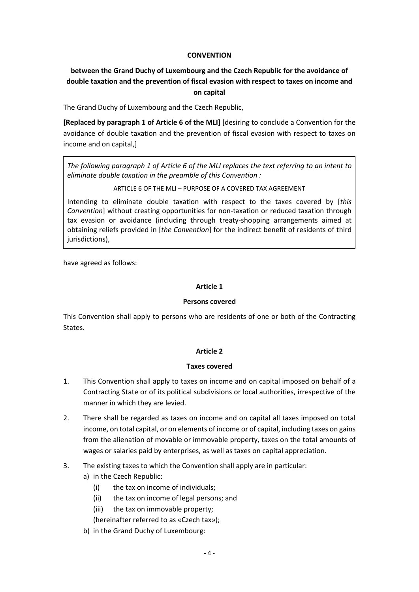#### **CONVENTION**

## **between the Grand Duchy of Luxembourg and the Czech Republic for the avoidance of double taxation and the prevention of fiscal evasion with respect to taxes on income and on capital**

The Grand Duchy of Luxembourg and the Czech Republic,

**[Replaced by paragraph 1 of Article 6 of the MLI]** [desiring to conclude a Convention for the avoidance of double taxation and the prevention of fiscal evasion with respect to taxes on income and on capital,]

*The following paragraph 1 of Article 6 of the MLI replaces the text referring to an intent to eliminate double taxation in the preamble of this Convention :*

ARTICLE 6 OF THE MLI – PURPOSE OF A COVERED TAX AGREEMENT

Intending to eliminate double taxation with respect to the taxes covered by [*this Convention*] without creating opportunities for non-taxation or reduced taxation through tax evasion or avoidance (including through treaty-shopping arrangements aimed at obtaining reliefs provided in [*the Convention*] for the indirect benefit of residents of third jurisdictions),

have agreed as follows:

### **Article 1**

#### **Persons covered**

This Convention shall apply to persons who are residents of one or both of the Contracting States.

### **Article 2**

#### **Taxes covered**

- 1. This Convention shall apply to taxes on income and on capital imposed on behalf of a Contracting State or of its political subdivisions or local authorities, irrespective of the manner in which they are levied.
- 2. There shall be regarded as taxes on income and on capital all taxes imposed on total income, on total capital, or on elements of income or of capital, including taxes on gains from the alienation of movable or immovable property, taxes on the total amounts of wages or salaries paid by enterprises, as well as taxes on capital appreciation.
- 3. The existing taxes to which the Convention shall apply are in particular:
	- a) in the Czech Republic:
		- (i) the tax on income of individuals;
		- (ii) the tax on income of legal persons; and
		- (iii) the tax on immovable property;
		- (hereinafter referred to as «Czech tax»);
	- b) in the Grand Duchy of Luxembourg: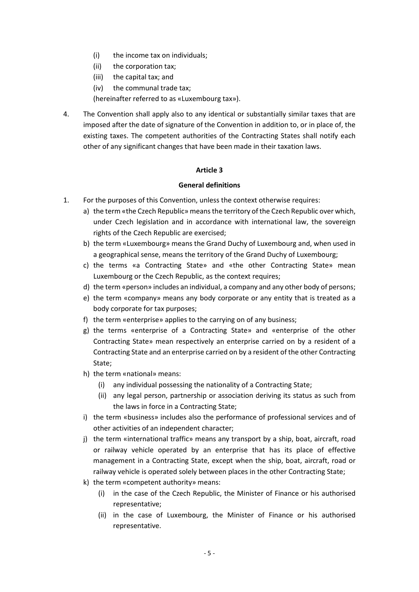- (i) the income tax on individuals;
- (ii) the corporation tax;
- (iii) the capital tax; and
- (iv) the communal trade tax;

(hereinafter referred to as «Luxembourg tax»).

4. The Convention shall apply also to any identical or substantially similar taxes that are imposed after the date of signature of the Convention in addition to, or in place of, the existing taxes. The competent authorities of the Contracting States shall notify each other of any significant changes that have been made in their taxation laws.

#### **Article 3**

#### **General definitions**

- 1. For the purposes of this Convention, unless the context otherwise requires:
	- a) the term «the Czech Republic» means the territory of the Czech Republic over which, under Czech legislation and in accordance with international law, the sovereign rights of the Czech Republic are exercised;
	- b) the term «Luxembourg» means the Grand Duchy of Luxembourg and, when used in a geographical sense, means the territory of the Grand Duchy of Luxembourg;
	- c) the terms «a Contracting State» and «the other Contracting State» mean Luxembourg or the Czech Republic, as the context requires;
	- d) the term «person» includes an individual, a company and any other body of persons;
	- e) the term «company» means any body corporate or any entity that is treated as a body corporate for tax purposes;
	- f) the term «enterprise» applies to the carrying on of any business;
	- g) the terms «enterprise of a Contracting State» and «enterprise of the other Contracting State» mean respectively an enterprise carried on by a resident of a Contracting State and an enterprise carried on by a resident of the other Contracting State;
	- h) the term «national» means:
		- (i) any individual possessing the nationality of a Contracting State;
		- (ii) any legal person, partnership or association deriving its status as such from the laws in force in a Contracting State;
	- i) the term «business» includes also the performance of professional services and of other activities of an independent character;
	- j) the term «international traffic» means any transport by a ship, boat, aircraft, road or railway vehicle operated by an enterprise that has its place of effective management in a Contracting State, except when the ship, boat, aircraft, road or railway vehicle is operated solely between places in the other Contracting State;
	- k) the term «competent authority» means:
		- (i) in the case of the Czech Republic, the Minister of Finance or his authorised representative;
		- (ii) in the case of Luxembourg, the Minister of Finance or his authorised representative.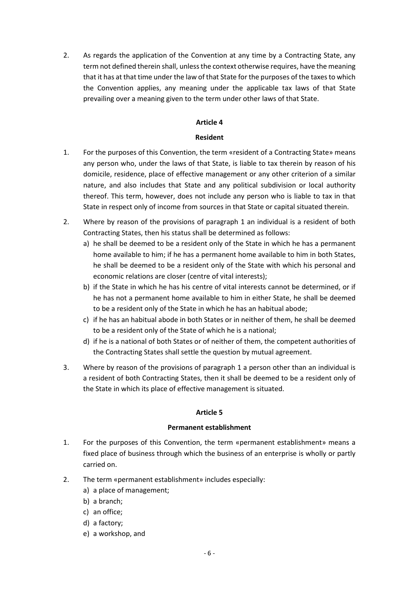2. As regards the application of the Convention at any time by a Contracting State, any term not defined therein shall, unless the context otherwise requires, have the meaning that it has at that time under the law of that State for the purposes of the taxes to which the Convention applies, any meaning under the applicable tax laws of that State prevailing over a meaning given to the term under other laws of that State.

#### **Article 4**

### **Resident**

- 1. For the purposes of this Convention, the term «resident of a Contracting State» means any person who, under the laws of that State, is liable to tax therein by reason of his domicile, residence, place of effective management or any other criterion of a similar nature, and also includes that State and any political subdivision or local authority thereof. This term, however, does not include any person who is liable to tax in that State in respect only of income from sources in that State or capital situated therein.
- 2. Where by reason of the provisions of paragraph 1 an individual is a resident of both Contracting States, then his status shall be determined as follows:
	- a) he shall be deemed to be a resident only of the State in which he has a permanent home available to him; if he has a permanent home available to him in both States, he shall be deemed to be a resident only of the State with which his personal and economic relations are closer (centre of vital interests);
	- b) if the State in which he has his centre of vital interests cannot be determined, or if he has not a permanent home available to him in either State, he shall be deemed to be a resident only of the State in which he has an habitual abode;
	- c) if he has an habitual abode in both States or in neither of them, he shall be deemed to be a resident only of the State of which he is a national;
	- d) if he is a national of both States or of neither of them, the competent authorities of the Contracting States shall settle the question by mutual agreement.
- 3. Where by reason of the provisions of paragraph 1 a person other than an individual is a resident of both Contracting States, then it shall be deemed to be a resident only of the State in which its place of effective management is situated.

### **Article 5**

#### **Permanent establishment**

- 1. For the purposes of this Convention, the term «permanent establishment» means a fixed place of business through which the business of an enterprise is wholly or partly carried on.
- 2. The term «permanent establishment» includes especially:
	- a) a place of management;
	- b) a branch;
	- c) an office;
	- d) a factory;
	- e) a workshop, and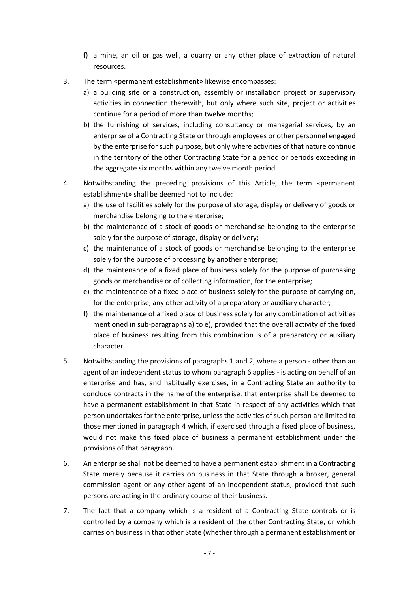- f) a mine, an oil or gas well, a quarry or any other place of extraction of natural resources.
- 3. The term «permanent establishment» likewise encompasses:
	- a) a building site or a construction, assembly or installation project or supervisory activities in connection therewith, but only where such site, project or activities continue for a period of more than twelve months;
	- b) the furnishing of services, including consultancy or managerial services, by an enterprise of a Contracting State or through employees or other personnel engaged by the enterprise for such purpose, but only where activities of that nature continue in the territory of the other Contracting State for a period or periods exceeding in the aggregate six months within any twelve month period.
- 4. Notwithstanding the preceding provisions of this Article, the term «permanent establishment» shall be deemed not to include:
	- a) the use of facilities solely for the purpose of storage, display or delivery of goods or merchandise belonging to the enterprise;
	- b) the maintenance of a stock of goods or merchandise belonging to the enterprise solely for the purpose of storage, display or delivery;
	- c) the maintenance of a stock of goods or merchandise belonging to the enterprise solely for the purpose of processing by another enterprise;
	- d) the maintenance of a fixed place of business solely for the purpose of purchasing goods or merchandise or of collecting information, for the enterprise;
	- e) the maintenance of a fixed place of business solely for the purpose of carrying on, for the enterprise, any other activity of a preparatory or auxiliary character;
	- f) the maintenance of a fixed place of business solely for any combination of activities mentioned in sub-paragraphs a) to e), provided that the overall activity of the fixed place of business resulting from this combination is of a preparatory or auxiliary character.
- 5. Notwithstanding the provisions of paragraphs 1 and 2, where a person other than an agent of an independent status to whom paragraph 6 applies - is acting on behalf of an enterprise and has, and habitually exercises, in a Contracting State an authority to conclude contracts in the name of the enterprise, that enterprise shall be deemed to have a permanent establishment in that State in respect of any activities which that person undertakes for the enterprise, unless the activities of such person are limited to those mentioned in paragraph 4 which, if exercised through a fixed place of business, would not make this fixed place of business a permanent establishment under the provisions of that paragraph.
- 6. An enterprise shall not be deemed to have a permanent establishment in a Contracting State merely because it carries on business in that State through a broker, general commission agent or any other agent of an independent status, provided that such persons are acting in the ordinary course of their business.
- 7. The fact that a company which is a resident of a Contracting State controls or is controlled by a company which is a resident of the other Contracting State, or which carries on business in that other State (whether through a permanent establishment or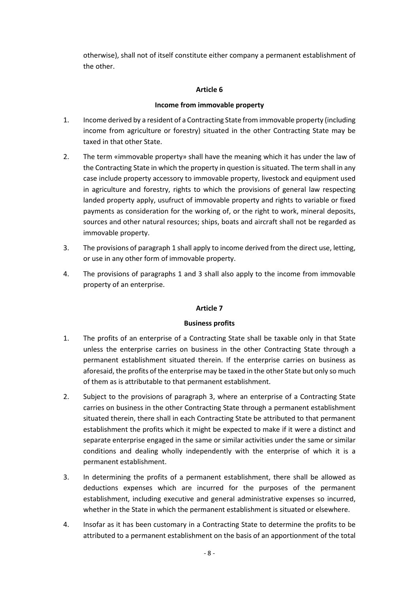otherwise), shall not of itself constitute either company a permanent establishment of the other.

### **Article 6**

### **Income from immovable property**

- 1. Income derived by a resident of a Contracting State from immovable property (including income from agriculture or forestry) situated in the other Contracting State may be taxed in that other State.
- 2. The term «immovable property» shall have the meaning which it has under the law of the Contracting State in which the property in question is situated. The term shall in any case include property accessory to immovable property, livestock and equipment used in agriculture and forestry, rights to which the provisions of general law respecting landed property apply, usufruct of immovable property and rights to variable or fixed payments as consideration for the working of, or the right to work, mineral deposits, sources and other natural resources; ships, boats and aircraft shall not be regarded as immovable property.
- 3. The provisions of paragraph 1 shall apply to income derived from the direct use, letting, or use in any other form of immovable property.
- 4. The provisions of paragraphs 1 and 3 shall also apply to the income from immovable property of an enterprise.

### **Article 7**

### **Business profits**

- 1. The profits of an enterprise of a Contracting State shall be taxable only in that State unless the enterprise carries on business in the other Contracting State through a permanent establishment situated therein. If the enterprise carries on business as aforesaid, the profits of the enterprise may be taxed in the other State but only so much of them as is attributable to that permanent establishment.
- 2. Subject to the provisions of paragraph 3, where an enterprise of a Contracting State carries on business in the other Contracting State through a permanent establishment situated therein, there shall in each Contracting State be attributed to that permanent establishment the profits which it might be expected to make if it were a distinct and separate enterprise engaged in the same or similar activities under the same or similar conditions and dealing wholly independently with the enterprise of which it is a permanent establishment.
- 3. In determining the profits of a permanent establishment, there shall be allowed as deductions expenses which are incurred for the purposes of the permanent establishment, including executive and general administrative expenses so incurred, whether in the State in which the permanent establishment is situated or elsewhere.
- 4. Insofar as it has been customary in a Contracting State to determine the profits to be attributed to a permanent establishment on the basis of an apportionment of the total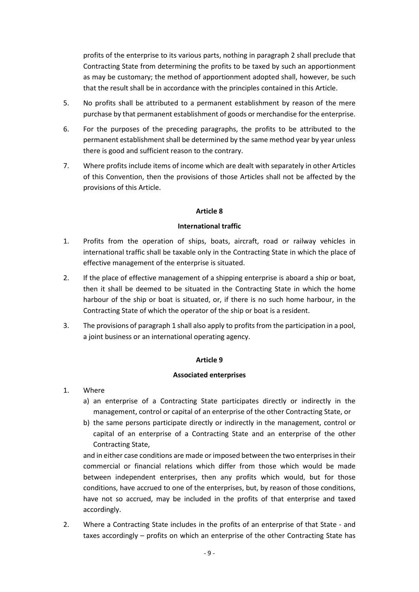profits of the enterprise to its various parts, nothing in paragraph 2 shall preclude that Contracting State from determining the profits to be taxed by such an apportionment as may be customary; the method of apportionment adopted shall, however, be such that the result shall be in accordance with the principles contained in this Article.

- 5. No profits shall be attributed to a permanent establishment by reason of the mere purchase by that permanent establishment of goods or merchandise for the enterprise.
- 6. For the purposes of the preceding paragraphs, the profits to be attributed to the permanent establishment shall be determined by the same method year by year unless there is good and sufficient reason to the contrary.
- 7. Where profits include items of income which are dealt with separately in other Articles of this Convention, then the provisions of those Articles shall not be affected by the provisions of this Article.

### **Article 8**

#### **International traffic**

- 1. Profits from the operation of ships, boats, aircraft, road or railway vehicles in international traffic shall be taxable only in the Contracting State in which the place of effective management of the enterprise is situated.
- 2. If the place of effective management of a shipping enterprise is aboard a ship or boat, then it shall be deemed to be situated in the Contracting State in which the home harbour of the ship or boat is situated, or, if there is no such home harbour, in the Contracting State of which the operator of the ship or boat is a resident.
- 3. The provisions of paragraph 1 shall also apply to profits from the participation in a pool, a joint business or an international operating agency.

## **Article 9**

#### **Associated enterprises**

- 1. Where
	- a) an enterprise of a Contracting State participates directly or indirectly in the management, control or capital of an enterprise of the other Contracting State, or
	- b) the same persons participate directly or indirectly in the management, control or capital of an enterprise of a Contracting State and an enterprise of the other Contracting State,

and in either case conditions are made or imposed between the two enterprises in their commercial or financial relations which differ from those which would be made between independent enterprises, then any profits which would, but for those conditions, have accrued to one of the enterprises, but, by reason of those conditions, have not so accrued, may be included in the profits of that enterprise and taxed accordingly.

2. Where a Contracting State includes in the profits of an enterprise of that State - and taxes accordingly – profits on which an enterprise of the other Contracting State has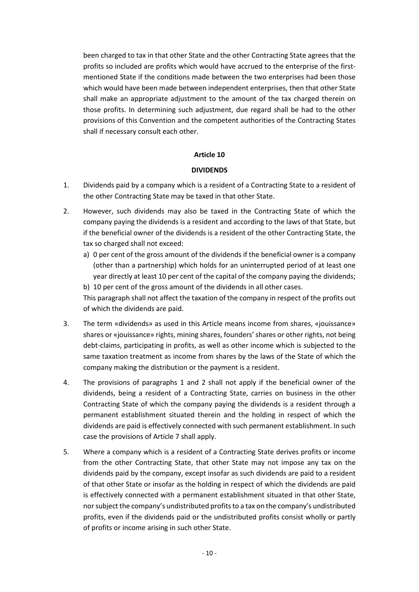been charged to tax in that other State and the other Contracting State agrees that the profits so included are profits which would have accrued to the enterprise of the firstmentioned State if the conditions made between the two enterprises had been those which would have been made between independent enterprises, then that other State shall make an appropriate adjustment to the amount of the tax charged therein on those profits. In determining such adjustment, due regard shall be had to the other provisions of this Convention and the competent authorities of the Contracting States shall if necessary consult each other.

### **Article 10**

### **DIVIDENDS**

- 1. Dividends paid by a company which is a resident of a Contracting State to a resident of the other Contracting State may be taxed in that other State.
- 2. However, such dividends may also be taxed in the Contracting State of which the company paying the dividends is a resident and according to the laws of that State, but if the beneficial owner of the dividends is a resident of the other Contracting State, the tax so charged shall not exceed:
	- a) 0 per cent of the gross amount of the dividends if the beneficial owner is a company (other than a partnership) which holds for an uninterrupted period of at least one year directly at least 10 per cent of the capital of the company paying the dividends; b) 10 per cent of the gross amount of the dividends in all other cases.

This paragraph shall not affect the taxation of the company in respect of the profits out of which the dividends are paid.

- 3. The term «dividends» as used in this Article means income from shares, «jouissance» shares or «jouissance» rights, mining shares, founders' shares or other rights, not being debt-claims, participating in profits, as well as other income which is subjected to the same taxation treatment as income from shares by the laws of the State of which the company making the distribution or the payment is a resident.
- 4. The provisions of paragraphs 1 and 2 shall not apply if the beneficial owner of the dividends, being a resident of a Contracting State, carries on business in the other Contracting State of which the company paying the dividends is a resident through a permanent establishment situated therein and the holding in respect of which the dividends are paid is effectively connected with such permanent establishment. In such case the provisions of Article 7 shall apply.
- 5. Where a company which is a resident of a Contracting State derives profits or income from the other Contracting State, that other State may not impose any tax on the dividends paid by the company, except insofar as such dividends are paid to a resident of that other State or insofar as the holding in respect of which the dividends are paid is effectively connected with a permanent establishment situated in that other State, nor subject the company's undistributed profitsto a tax on the company's undistributed profits, even if the dividends paid or the undistributed profits consist wholly or partly of profits or income arising in such other State.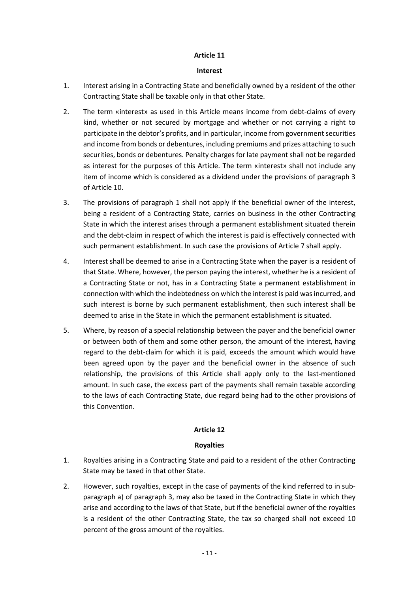#### **Interest**

- 1. Interest arising in a Contracting State and beneficially owned by a resident of the other Contracting State shall be taxable only in that other State.
- 2. The term «interest» as used in this Article means income from debt-claims of every kind, whether or not secured by mortgage and whether or not carrying a right to participate in the debtor's profits, and in particular, income from government securities and income from bonds or debentures, including premiums and prizes attaching to such securities, bonds or debentures. Penalty charges for late payment shall not be regarded as interest for the purposes of this Article. The term «interest» shall not include any item of income which is considered as a dividend under the provisions of paragraph 3 of Article 10.
- 3. The provisions of paragraph 1 shall not apply if the beneficial owner of the interest, being a resident of a Contracting State, carries on business in the other Contracting State in which the interest arises through a permanent establishment situated therein and the debt-claim in respect of which the interest is paid is effectively connected with such permanent establishment. In such case the provisions of Article 7 shall apply.
- 4. Interest shall be deemed to arise in a Contracting State when the payer is a resident of that State. Where, however, the person paying the interest, whether he is a resident of a Contracting State or not, has in a Contracting State a permanent establishment in connection with which the indebtedness on which the interest is paid was incurred, and such interest is borne by such permanent establishment, then such interest shall be deemed to arise in the State in which the permanent establishment is situated.
- 5. Where, by reason of a special relationship between the payer and the beneficial owner or between both of them and some other person, the amount of the interest, having regard to the debt-claim for which it is paid, exceeds the amount which would have been agreed upon by the payer and the beneficial owner in the absence of such relationship, the provisions of this Article shall apply only to the last-mentioned amount. In such case, the excess part of the payments shall remain taxable according to the laws of each Contracting State, due regard being had to the other provisions of this Convention.

### **Article 12**

### **Royalties**

- 1. Royalties arising in a Contracting State and paid to a resident of the other Contracting State may be taxed in that other State.
- 2. However, such royalties, except in the case of payments of the kind referred to in subparagraph a) of paragraph 3, may also be taxed in the Contracting State in which they arise and according to the laws of that State, but if the beneficial owner of the royalties is a resident of the other Contracting State, the tax so charged shall not exceed 10 percent of the gross amount of the royalties.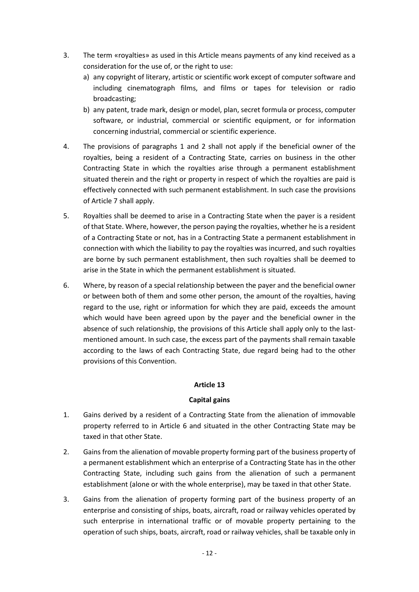- 3. The term «royalties» as used in this Article means payments of any kind received as a consideration for the use of, or the right to use:
	- a) any copyright of literary, artistic or scientific work except of computer software and including cinematograph films, and films or tapes for television or radio broadcasting;
	- b) any patent, trade mark, design or model, plan, secret formula or process, computer software, or industrial, commercial or scientific equipment, or for information concerning industrial, commercial or scientific experience.
- 4. The provisions of paragraphs 1 and 2 shall not apply if the beneficial owner of the royalties, being a resident of a Contracting State, carries on business in the other Contracting State in which the royalties arise through a permanent establishment situated therein and the right or property in respect of which the royalties are paid is effectively connected with such permanent establishment. In such case the provisions of Article 7 shall apply.
- 5. Royalties shall be deemed to arise in a Contracting State when the payer is a resident of that State. Where, however, the person paying the royalties, whether he is a resident of a Contracting State or not, has in a Contracting State a permanent establishment in connection with which the liability to pay the royalties was incurred, and such royalties are borne by such permanent establishment, then such royalties shall be deemed to arise in the State in which the permanent establishment is situated.
- 6. Where, by reason of a special relationship between the payer and the beneficial owner or between both of them and some other person, the amount of the royalties, having regard to the use, right or information for which they are paid, exceeds the amount which would have been agreed upon by the payer and the beneficial owner in the absence of such relationship, the provisions of this Article shall apply only to the lastmentioned amount. In such case, the excess part of the payments shall remain taxable according to the laws of each Contracting State, due regard being had to the other provisions of this Convention.

### **Capital gains**

- 1. Gains derived by a resident of a Contracting State from the alienation of immovable property referred to in Article 6 and situated in the other Contracting State may be taxed in that other State.
- 2. Gains from the alienation of movable property forming part of the business property of a permanent establishment which an enterprise of a Contracting State has in the other Contracting State, including such gains from the alienation of such a permanent establishment (alone or with the whole enterprise), may be taxed in that other State.
- 3. Gains from the alienation of property forming part of the business property of an enterprise and consisting of ships, boats, aircraft, road or railway vehicles operated by such enterprise in international traffic or of movable property pertaining to the operation of such ships, boats, aircraft, road or railway vehicles, shall be taxable only in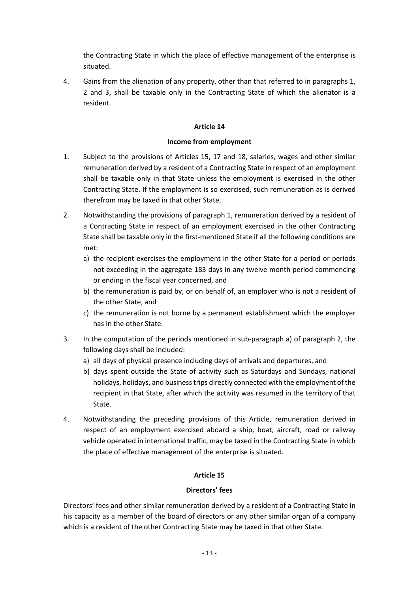the Contracting State in which the place of effective management of the enterprise is situated.

4. Gains from the alienation of any property, other than that referred to in paragraphs 1, 2 and 3, shall be taxable only in the Contracting State of which the alienator is a resident.

### **Article 14**

### **Income from employment**

- 1. Subject to the provisions of Articles 15, 17 and 18, salaries, wages and other similar remuneration derived by a resident of a Contracting State in respect of an employment shall be taxable only in that State unless the employment is exercised in the other Contracting State. If the employment is so exercised, such remuneration as is derived therefrom may be taxed in that other State.
- 2. Notwithstanding the provisions of paragraph 1, remuneration derived by a resident of a Contracting State in respect of an employment exercised in the other Contracting State shall be taxable only in the first-mentioned State if all the following conditions are met:
	- a) the recipient exercises the employment in the other State for a period or periods not exceeding in the aggregate 183 days in any twelve month period commencing or ending in the fiscal year concerned, and
	- b) the remuneration is paid by, or on behalf of, an employer who is not a resident of the other State, and
	- c) the remuneration is not borne by a permanent establishment which the employer has in the other State.
- 3. In the computation of the periods mentioned in sub-paragraph a) of paragraph 2, the following days shall be included:
	- a) all days of physical presence including days of arrivals and departures, and
	- b) days spent outside the State of activity such as Saturdays and Sundays, national holidays, holidays, and businesstrips directly connected with the employment of the recipient in that State, after which the activity was resumed in the territory of that State.
- 4. Notwithstanding the preceding provisions of this Article, remuneration derived in respect of an employment exercised aboard a ship, boat, aircraft, road or railway vehicle operated in international traffic, may be taxed in the Contracting State in which the place of effective management of the enterprise is situated.

## **Article 15**

### **Directors' fees**

Directors' fees and other similar remuneration derived by a resident of a Contracting State in his capacity as a member of the board of directors or any other similar organ of a company which is a resident of the other Contracting State may be taxed in that other State.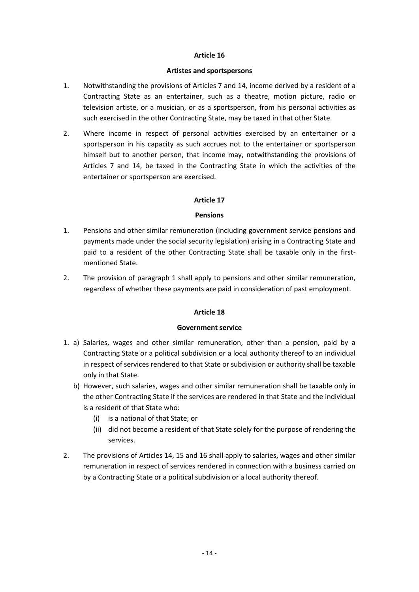#### **Artistes and sportspersons**

- 1. Notwithstanding the provisions of Articles 7 and 14, income derived by a resident of a Contracting State as an entertainer, such as a theatre, motion picture, radio or television artiste, or a musician, or as a sportsperson, from his personal activities as such exercised in the other Contracting State, may be taxed in that other State.
- 2. Where income in respect of personal activities exercised by an entertainer or a sportsperson in his capacity as such accrues not to the entertainer or sportsperson himself but to another person, that income may, notwithstanding the provisions of Articles 7 and 14, be taxed in the Contracting State in which the activities of the entertainer or sportsperson are exercised.

### **Article 17**

### **Pensions**

- 1. Pensions and other similar remuneration (including government service pensions and payments made under the social security legislation) arising in a Contracting State and paid to a resident of the other Contracting State shall be taxable only in the firstmentioned State.
- 2. The provision of paragraph 1 shall apply to pensions and other similar remuneration, regardless of whether these payments are paid in consideration of past employment.

### **Article 18**

#### **Government service**

- 1. a) Salaries, wages and other similar remuneration, other than a pension, paid by a Contracting State or a political subdivision or a local authority thereof to an individual in respect of services rendered to that State or subdivision or authority shall be taxable only in that State.
	- b) However, such salaries, wages and other similar remuneration shall be taxable only in the other Contracting State if the services are rendered in that State and the individual is a resident of that State who:
		- (i) is a national of that State; or
		- (ii) did not become a resident of that State solely for the purpose of rendering the services.
- 2. The provisions of Articles 14, 15 and 16 shall apply to salaries, wages and other similar remuneration in respect of services rendered in connection with a business carried on by a Contracting State or a political subdivision or a local authority thereof.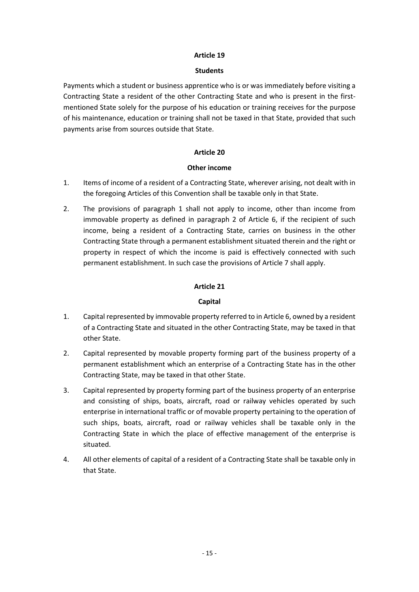#### **Students**

Payments which a student or business apprentice who is or was immediately before visiting a Contracting State a resident of the other Contracting State and who is present in the firstmentioned State solely for the purpose of his education or training receives for the purpose of his maintenance, education or training shall not be taxed in that State, provided that such payments arise from sources outside that State.

### **Article 20**

### **Other income**

- 1. Items of income of a resident of a Contracting State, wherever arising, not dealt with in the foregoing Articles of this Convention shall be taxable only in that State.
- 2. The provisions of paragraph 1 shall not apply to income, other than income from immovable property as defined in paragraph 2 of Article 6, if the recipient of such income, being a resident of a Contracting State, carries on business in the other Contracting State through a permanent establishment situated therein and the right or property in respect of which the income is paid is effectively connected with such permanent establishment. In such case the provisions of Article 7 shall apply.

### **Article 21**

### **Capital**

- 1. Capital represented by immovable property referred to in Article 6, owned by a resident of a Contracting State and situated in the other Contracting State, may be taxed in that other State.
- 2. Capital represented by movable property forming part of the business property of a permanent establishment which an enterprise of a Contracting State has in the other Contracting State, may be taxed in that other State.
- 3. Capital represented by property forming part of the business property of an enterprise and consisting of ships, boats, aircraft, road or railway vehicles operated by such enterprise in international traffic or of movable property pertaining to the operation of such ships, boats, aircraft, road or railway vehicles shall be taxable only in the Contracting State in which the place of effective management of the enterprise is situated.
- 4. All other elements of capital of a resident of a Contracting State shall be taxable only in that State.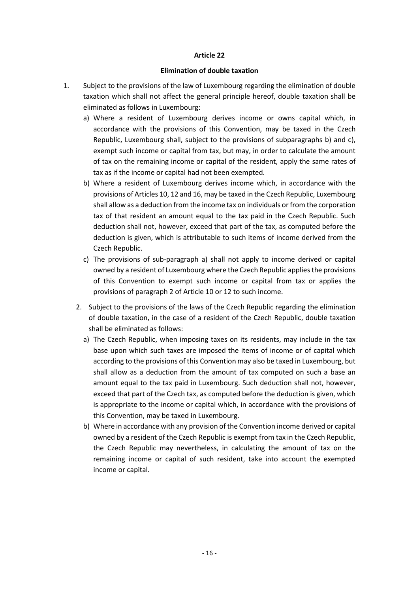#### **Elimination of double taxation**

- 1. Subject to the provisions of the law of Luxembourg regarding the elimination of double taxation which shall not affect the general principle hereof, double taxation shall be eliminated as follows in Luxembourg:
	- a) Where a resident of Luxembourg derives income or owns capital which, in accordance with the provisions of this Convention, may be taxed in the Czech Republic, Luxembourg shall, subject to the provisions of subparagraphs b) and c), exempt such income or capital from tax, but may, in order to calculate the amount of tax on the remaining income or capital of the resident, apply the same rates of tax as if the income or capital had not been exempted.
	- b) Where a resident of Luxembourg derives income which, in accordance with the provisions of Articles 10, 12 and 16, may be taxed in the Czech Republic, Luxembourg shall allow as a deduction from the income tax on individuals or from the corporation tax of that resident an amount equal to the tax paid in the Czech Republic. Such deduction shall not, however, exceed that part of the tax, as computed before the deduction is given, which is attributable to such items of income derived from the Czech Republic.
	- c) The provisions of sub-paragraph a) shall not apply to income derived or capital owned by a resident of Luxembourg where the Czech Republic applies the provisions of this Convention to exempt such income or capital from tax or applies the provisions of paragraph 2 of Article 10 or 12 to such income.
	- 2. Subject to the provisions of the laws of the Czech Republic regarding the elimination of double taxation, in the case of a resident of the Czech Republic, double taxation shall be eliminated as follows:
		- a) The Czech Republic, when imposing taxes on its residents, may include in the tax base upon which such taxes are imposed the items of income or of capital which according to the provisions of this Convention may also be taxed in Luxembourg, but shall allow as a deduction from the amount of tax computed on such a base an amount equal to the tax paid in Luxembourg. Such deduction shall not, however, exceed that part of the Czech tax, as computed before the deduction is given, which is appropriate to the income or capital which, in accordance with the provisions of this Convention, may be taxed in Luxembourg.
		- b) Where in accordance with any provision of the Convention income derived or capital owned by a resident of the Czech Republic is exempt from tax in the Czech Republic, the Czech Republic may nevertheless, in calculating the amount of tax on the remaining income or capital of such resident, take into account the exempted income or capital.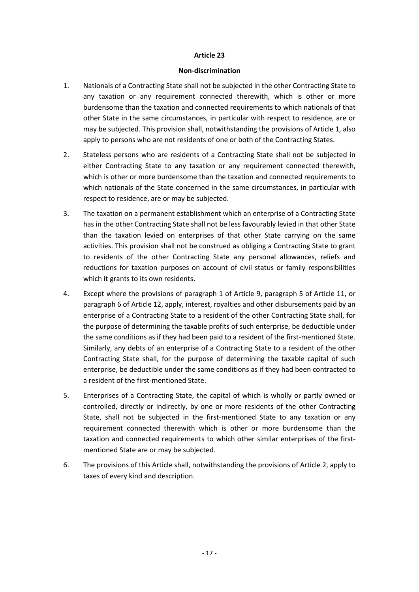#### **Non-discrimination**

- 1. Nationals of a Contracting State shall not be subjected in the other Contracting State to any taxation or any requirement connected therewith, which is other or more burdensome than the taxation and connected requirements to which nationals of that other State in the same circumstances, in particular with respect to residence, are or may be subjected. This provision shall, notwithstanding the provisions of Article 1, also apply to persons who are not residents of one or both of the Contracting States.
- 2. Stateless persons who are residents of a Contracting State shall not be subjected in either Contracting State to any taxation or any requirement connected therewith, which is other or more burdensome than the taxation and connected requirements to which nationals of the State concerned in the same circumstances, in particular with respect to residence, are or may be subjected.
- 3. The taxation on a permanent establishment which an enterprise of a Contracting State has in the other Contracting State shall not be less favourably levied in that other State than the taxation levied on enterprises of that other State carrying on the same activities. This provision shall not be construed as obliging a Contracting State to grant to residents of the other Contracting State any personal allowances, reliefs and reductions for taxation purposes on account of civil status or family responsibilities which it grants to its own residents.
- 4. Except where the provisions of paragraph 1 of Article 9, paragraph 5 of Article 11, or paragraph 6 of Article 12, apply, interest, royalties and other disbursements paid by an enterprise of a Contracting State to a resident of the other Contracting State shall, for the purpose of determining the taxable profits of such enterprise, be deductible under the same conditions as if they had been paid to a resident of the first-mentioned State. Similarly, any debts of an enterprise of a Contracting State to a resident of the other Contracting State shall, for the purpose of determining the taxable capital of such enterprise, be deductible under the same conditions as if they had been contracted to a resident of the first-mentioned State.
- 5. Enterprises of a Contracting State, the capital of which is wholly or partly owned or controlled, directly or indirectly, by one or more residents of the other Contracting State, shall not be subjected in the first-mentioned State to any taxation or any requirement connected therewith which is other or more burdensome than the taxation and connected requirements to which other similar enterprises of the firstmentioned State are or may be subjected.
- 6. The provisions of this Article shall, notwithstanding the provisions of Article 2, apply to taxes of every kind and description.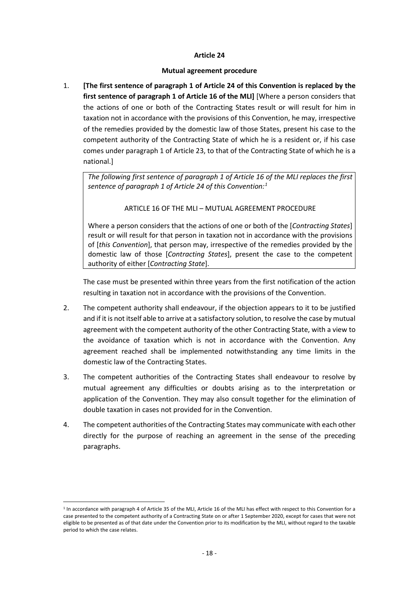### **Mutual agreement procedure**

1. **[The first sentence of paragraph 1 of Article 24 of this Convention is replaced by the first sentence of paragraph 1 of Article 16 of the MLI]** [Where a person considers that the actions of one or both of the Contracting States result or will result for him in taxation not in accordance with the provisions of this Convention, he may, irrespective of the remedies provided by the domestic law of those States, present his case to the competent authority of the Contracting State of which he is a resident or, if his case comes under paragraph 1 of Article 23, to that of the Contracting State of which he is a national.]

*The following first sentence of paragraph 1 of Article 16 of the MLI replaces the first sentence of paragraph 1 of Article 24 of this Convention:[1](#page-17-0)*

## ARTICLE 16 OF THE MLI – MUTUAL AGREEMENT PROCEDURE

Where a person considers that the actions of one or both of the [*Contracting States*] result or will result for that person in taxation not in accordance with the provisions of [*this Convention*], that person may, irrespective of the remedies provided by the domestic law of those [*Contracting States*], present the case to the competent authority of either [*Contracting State*].

The case must be presented within three years from the first notification of the action resulting in taxation not in accordance with the provisions of the Convention.

- 2. The competent authority shall endeavour, if the objection appears to it to be justified and if it is not itself able to arrive at a satisfactory solution, to resolve the case by mutual agreement with the competent authority of the other Contracting State, with a view to the avoidance of taxation which is not in accordance with the Convention. Any agreement reached shall be implemented notwithstanding any time limits in the domestic law of the Contracting States.
- 3. The competent authorities of the Contracting States shall endeavour to resolve by mutual agreement any difficulties or doubts arising as to the interpretation or application of the Convention. They may also consult together for the elimination of double taxation in cases not provided for in the Convention.
- 4. The competent authorities of the Contracting States may communicate with each other directly for the purpose of reaching an agreement in the sense of the preceding paragraphs.

<span id="page-17-0"></span><sup>&</sup>lt;u>.</u>  $1$  In accordance with paragraph 4 of Article 35 of the MLI, Article 16 of the MLI has effect with respect to this Convention for a case presented to the competent authority of a Contracting State on or after 1 September 2020, except for cases that were not eligible to be presented as of that date under the Convention prior to its modification by the MLI, without regard to the taxable period to which the case relates.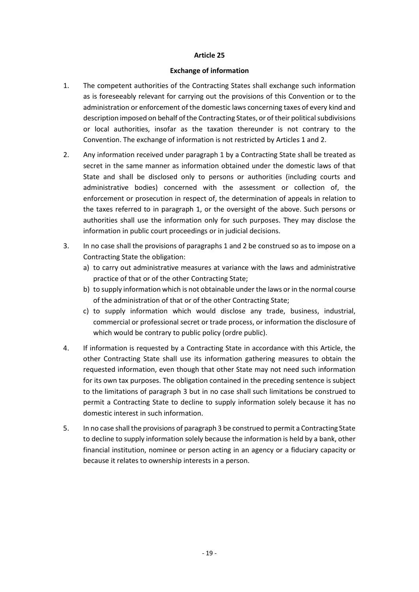#### **Exchange of information**

- 1. The competent authorities of the Contracting States shall exchange such information as is foreseeably relevant for carrying out the provisions of this Convention or to the administration or enforcement of the domestic laws concerning taxes of every kind and description imposed on behalf of the Contracting States, or of their political subdivisions or local authorities, insofar as the taxation thereunder is not contrary to the Convention. The exchange of information is not restricted by Articles 1 and 2.
- 2. Any information received under paragraph 1 by a Contracting State shall be treated as secret in the same manner as information obtained under the domestic laws of that State and shall be disclosed only to persons or authorities (including courts and administrative bodies) concerned with the assessment or collection of, the enforcement or prosecution in respect of, the determination of appeals in relation to the taxes referred to in paragraph 1, or the oversight of the above. Such persons or authorities shall use the information only for such purposes. They may disclose the information in public court proceedings or in judicial decisions.
- 3. In no case shall the provisions of paragraphs 1 and 2 be construed so as to impose on a Contracting State the obligation:
	- a) to carry out administrative measures at variance with the laws and administrative practice of that or of the other Contracting State;
	- b) to supply information which is not obtainable under the laws or in the normal course of the administration of that or of the other Contracting State;
	- c) to supply information which would disclose any trade, business, industrial, commercial or professional secret or trade process, or information the disclosure of which would be contrary to public policy (ordre public).
- 4. If information is requested by a Contracting State in accordance with this Article, the other Contracting State shall use its information gathering measures to obtain the requested information, even though that other State may not need such information for its own tax purposes. The obligation contained in the preceding sentence is subject to the limitations of paragraph 3 but in no case shall such limitations be construed to permit a Contracting State to decline to supply information solely because it has no domestic interest in such information.
- 5. In no case shall the provisions of paragraph 3 be construed to permit a Contracting State to decline to supply information solely because the information is held by a bank, other financial institution, nominee or person acting in an agency or a fiduciary capacity or because it relates to ownership interests in a person.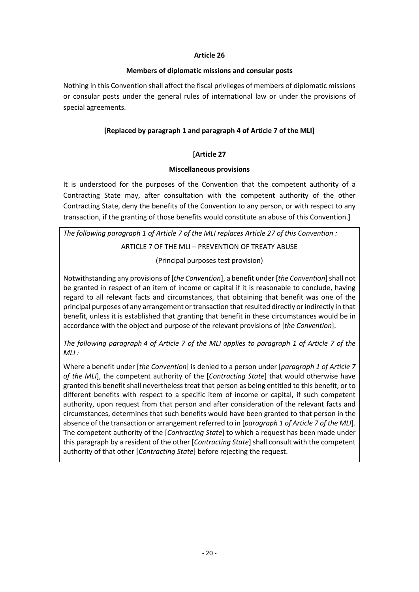### **Members of diplomatic missions and consular posts**

Nothing in this Convention shall affect the fiscal privileges of members of diplomatic missions or consular posts under the general rules of international law or under the provisions of special agreements.

## **[Replaced by paragraph 1 and paragraph 4 of Article 7 of the MLI]**

## **[Article 27**

### **Miscellaneous provisions**

It is understood for the purposes of the Convention that the competent authority of a Contracting State may, after consultation with the competent authority of the other Contracting State, deny the benefits of the Convention to any person, or with respect to any transaction, if the granting of those benefits would constitute an abuse of this Convention.]

*The following paragraph 1 of Article 7 of the MLI replaces Article 27 of this Convention :* ARTICLE 7 OF THE MLI – PREVENTION OF TREATY ABUSE

(Principal purposes test provision)

Notwithstanding any provisions of [*the Convention*], a benefit under [*the Convention*] shall not be granted in respect of an item of income or capital if it is reasonable to conclude, having regard to all relevant facts and circumstances, that obtaining that benefit was one of the principal purposes of any arrangement or transaction that resulted directly or indirectly in that benefit, unless it is established that granting that benefit in these circumstances would be in accordance with the object and purpose of the relevant provisions of [*the Convention*].

*The following paragraph 4 of Article 7 of the MLI applies to paragraph 1 of Article 7 of the MLI :*

Where a benefit under [*the Convention*] is denied to a person under [*paragraph 1 of Article 7 of the MLI*], the competent authority of the [*Contracting State*] that would otherwise have granted this benefit shall nevertheless treat that person as being entitled to this benefit, or to different benefits with respect to a specific item of income or capital, if such competent authority, upon request from that person and after consideration of the relevant facts and circumstances, determines that such benefits would have been granted to that person in the absence of the transaction or arrangement referred to in [*paragraph 1 of Article 7 of the MLI*]. The competent authority of the [*Contracting State*] to which a request has been made under this paragraph by a resident of the other [*Contracting State*] shall consult with the competent authority of that other [*Contracting State*] before rejecting the request.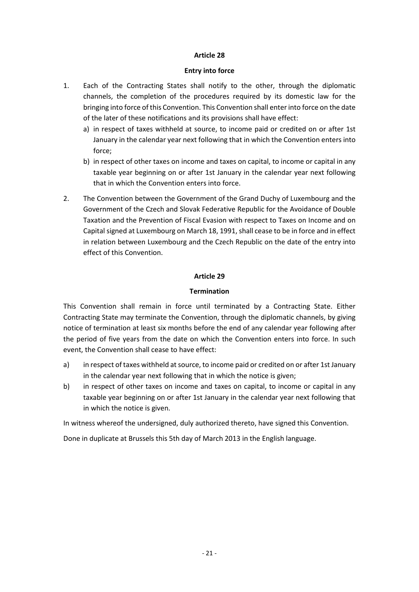#### **Entry into force**

- 1. Each of the Contracting States shall notify to the other, through the diplomatic channels, the completion of the procedures required by its domestic law for the bringing into force of this Convention. This Convention shall enterinto force on the date of the later of these notifications and its provisions shall have effect:
	- a) in respect of taxes withheld at source, to income paid or credited on or after 1st January in the calendar year next following that in which the Convention enters into force;
	- b) in respect of other taxes on income and taxes on capital, to income or capital in any taxable year beginning on or after 1st January in the calendar year next following that in which the Convention enters into force.
- 2. The Convention between the Government of the Grand Duchy of Luxembourg and the Government of the Czech and Slovak Federative Republic for the Avoidance of Double Taxation and the Prevention of Fiscal Evasion with respect to Taxes on Income and on Capital signed at Luxembourg on March 18, 1991, shall cease to be in force and in effect in relation between Luxembourg and the Czech Republic on the date of the entry into effect of this Convention.

## **Article 29**

## **Termination**

This Convention shall remain in force until terminated by a Contracting State. Either Contracting State may terminate the Convention, through the diplomatic channels, by giving notice of termination at least six months before the end of any calendar year following after the period of five years from the date on which the Convention enters into force. In such event, the Convention shall cease to have effect:

- a) in respect of taxes withheld at source, to income paid or credited on or after 1st January in the calendar year next following that in which the notice is given;
- b) in respect of other taxes on income and taxes on capital, to income or capital in any taxable year beginning on or after 1st January in the calendar year next following that in which the notice is given.

In witness whereof the undersigned, duly authorized thereto, have signed this Convention.

Done in duplicate at Brussels this 5th day of March 2013 in the English language.